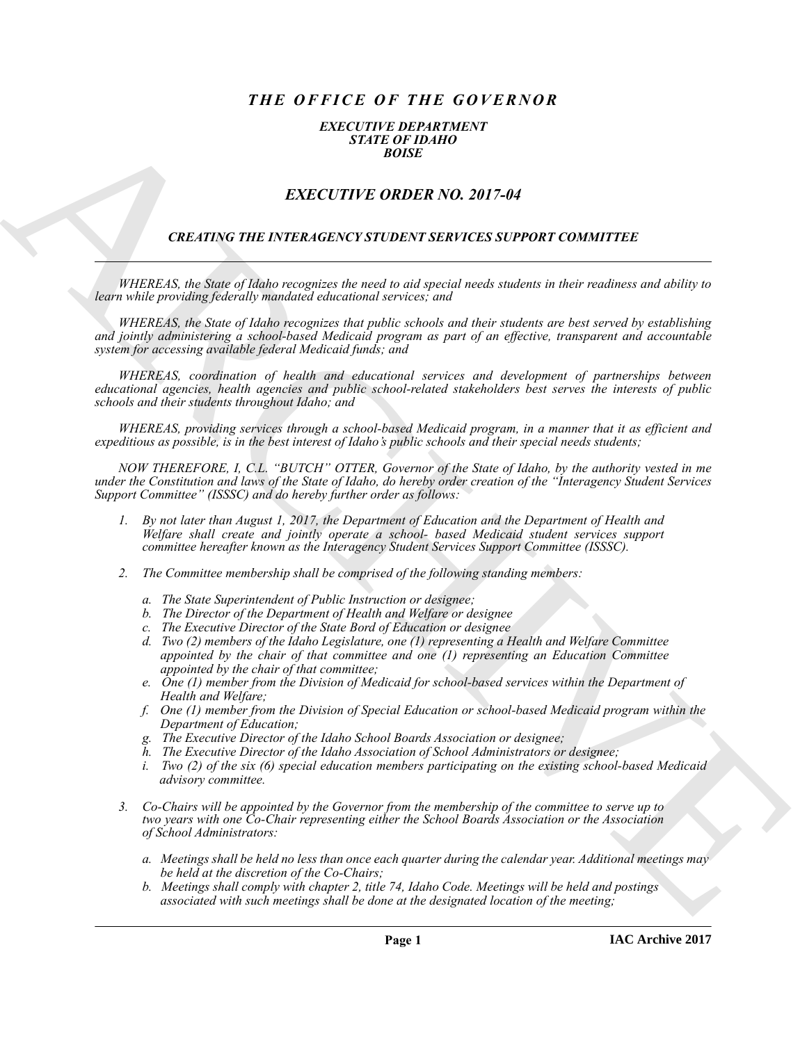## *THE OFFICE OF THE GOVERNOR*

## *EXECUTIVE DEPARTMENT STATE OF IDAHO BOISE*

## *EXECUTIVE ORDER NO. 2017-04*

## *CREATING THE INTERAGENCY STUDENT SERVICES SUPPORT COMMITTEE*

*WHEREAS, the State of Idaho recognizes the need to aid special needs students in their readiness and ability to learn while providing federally mandated educational services; and*

*WHEREAS, the State of Idaho recognizes that public schools and their students are best served by establishing and jointly administering a school-based Medicaid program as part of an effective, transparent and accountable system for accessing available federal Medicaid funds; and*

*WHEREAS, coordination of health and educational services and development of partnerships between educational agencies, health agencies and public school-related stakeholders best serves the interests of public schools and their students throughout Idaho; and*

*WHEREAS, providing services through a school-based Medicaid program, in a manner that it as efficient and expeditious as possible, is in the best interest of Idaho's public schools and their special needs students;*

**EXACT CHE CONTRACT CHEMICAL CHEMICAL CHEMICAL CHEMICAL CHEMICAL CHEMICAL CHEMICAL CHEMICAL CHEMICAL CHEMICAL CHEMICAL CHEMICAL CHEMICAL CHEMICAL CHEMICAL CHEMICAL CHEMICAL CHEMICAL CHEMICAL CHEMICAL CHEMICAL CHEMICAL CHE** *NOW THEREFORE, I, C.L. "BUTCH" OTTER, Governor of the State of Idaho, by the authority vested in me under the Constitution and laws of the State of Idaho, do hereby order creation of the "Interagency Student Services Support Committee" (ISSSC) and do hereby further order as follows:*

- *1. By not later than August 1, 2017, the Department of Education and the Department of Health and Welfare shall create and jointly operate a school- based Medicaid student services support committee hereafter known as the Interagency Student Services Support Committee (ISSSC).*
- *2. The Committee membership shall be comprised of the following standing members:*
	- *a. The State Superintendent of Public Instruction or designee;*
	- *b. The Director of the Department of Health and Welfare or designee*
	- *c. The Executive Director of the State Bord of Education or designee*
	- *d. Two (2) members of the Idaho Legislature, one (1) representing a Health and Welfare Committee appointed by the chair of that committee and one (1) representing an Education Committee appointed by the chair of that committee;*
	- *e. One (1) member from the Division of Medicaid for school-based services within the Department of Health and Welfare;*
	- *f. One (1) member from the Division of Special Education or school-based Medicaid program within the Department of Education;*
	- *g. The Executive Director of the Idaho School Boards Association or designee;*
	- *h. The Executive Director of the Idaho Association of School Administrators or designee;*
	- *i. Two (2) of the six (6) special education members participating on the existing school-based Medicaid advisory committee.*
- *3. Co-Chairs will be appointed by the Governor from the membership of the committee to serve up to two years with one Co-Chair representing either the School Boards Association or the Association of School Administrators:*
	- *a. Meetings shall be held no less than once each quarter during the calendar year. Additional meetings may be held at the discretion of the Co-Chairs;*
	- *b. Meetings shall comply with chapter 2, title 74, Idaho Code. Meetings will be held and postings associated with such meetings shall be done at the designated location of the meeting;*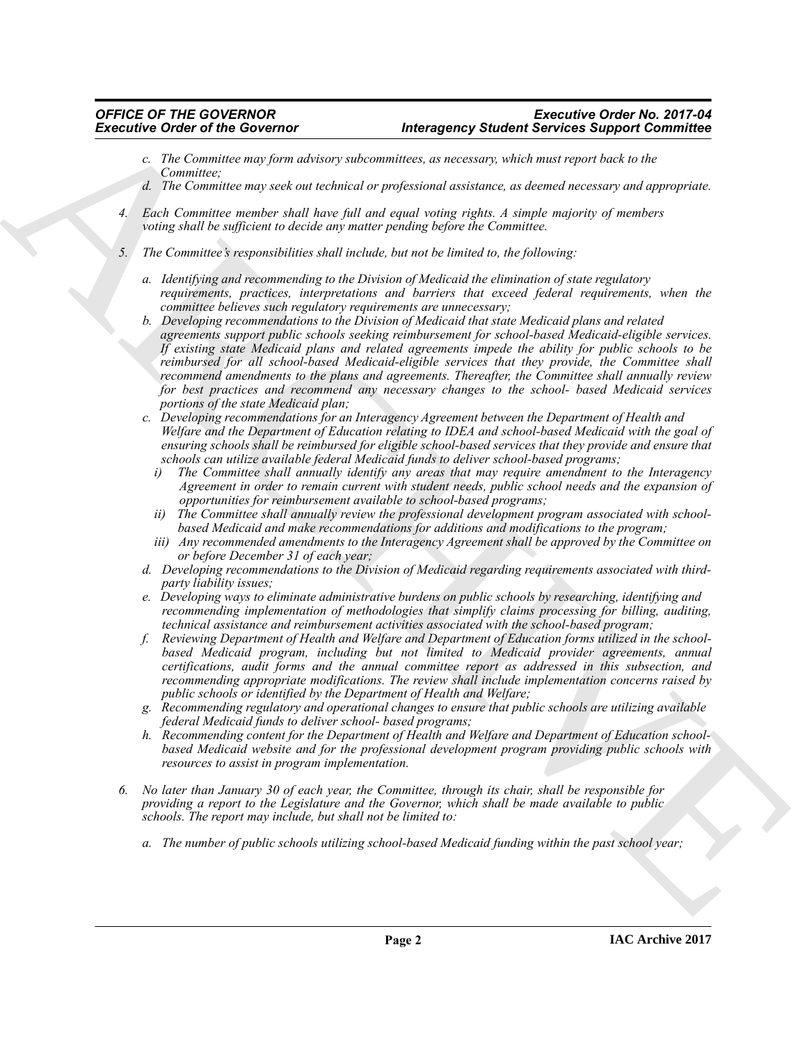- *c. The Committee may form advisory subcommittees, as necessary, which must report back to the Committee;*
- *d. The Committee may seek out technical or professional assistance, as deemed necessary and appropriate.*
- *4. Each Committee member shall have full and equal voting rights. A simple majority of members voting shall be sufficient to decide any matter pending before the Committee.*
- *5. The Committee's responsibilities shall include, but not be limited to, the following:*
	- *a. Identifying and recommending to the Division of Medicaid the elimination of state regulatory requirements, practices, interpretations and barriers that exceed federal requirements, when the committee believes such regulatory requirements are unnecessary;*
- Executive Ortho Geoverno Interesting Instantion of the Contentral Contentral Contentral Contentral Contentral Contentral Contentral Contentral Contentral Contentral Contentral Contentral Contentral Contentral Contentral C *b. Developing recommendations to the Division of Medicaid that state Medicaid plans and related agreements support public schools seeking reimbursement for school-based Medicaid-eligible services. If existing state Medicaid plans and related agreements impede the ability for public schools to be reimbursed for all school-based Medicaid-eligible services that they provide, the Committee shall recommend amendments to the plans and agreements. Thereafter, the Committee shall annually review for best practices and recommend any necessary changes to the school- based Medicaid services portions of the state Medicaid plan;*
	- *c. Developing recommendations for an Interagency Agreement between the Department of Health and Welfare and the Department of Education relating to IDEA and school-based Medicaid with the goal of ensuring schools shall be reimbursed for eligible school-based services that they provide and ensure that schools can utilize available federal Medicaid funds to deliver school-based programs;*
		- *i) The Committee shall annually identify any areas that may require amendment to the Interagency Agreement in order to remain current with student needs, public school needs and the expansion of opportunities for reimbursement available to school-based programs;*
		- *ii) The Committee shall annually review the professional development program associated with schoolbased Medicaid and make recommendations for additions and modifications to the program;*
		- *iii) Any recommended amendments to the Interagency Agreement shall be approved by the Committee on or before December 31 of each year;*
	- *d. Developing recommendations to the Division of Medicaid regarding requirements associated with thirdparty liability issues;*
	- *e. Developing ways to eliminate administrative burdens on public schools by researching, identifying and recommending implementation of methodologies that simplify claims processing for billing, auditing, technical assistance and reimbursement activities associated with the school-based program;*
	- *f. Reviewing Department of Health and Welfare and Department of Education forms utilized in the schoolbased Medicaid program, including but not limited to Medicaid provider agreements, annual certifications, audit forms and the annual committee report as addressed in this subsection, and recommending appropriate modifications. The review shall include implementation concerns raised by public schools or identified by the Department of Health and Welfare;*
	- *g. Recommending regulatory and operational changes to ensure that public schools are utilizing available federal Medicaid funds to deliver school- based programs;*
	- *h. Recommending content for the Department of Health and Welfare and Department of Education schoolbased Medicaid website and for the professional development program providing public schools with resources to assist in program implementation.*
	- *6. No later than January 30 of each year, the Committee, through its chair, shall be responsible for providing a report to the Legislature and the Governor, which shall be made available to public schools. The report may include, but shall not be limited to:*
		- *a. The number of public schools utilizing school-based Medicaid funding within the past school year;*